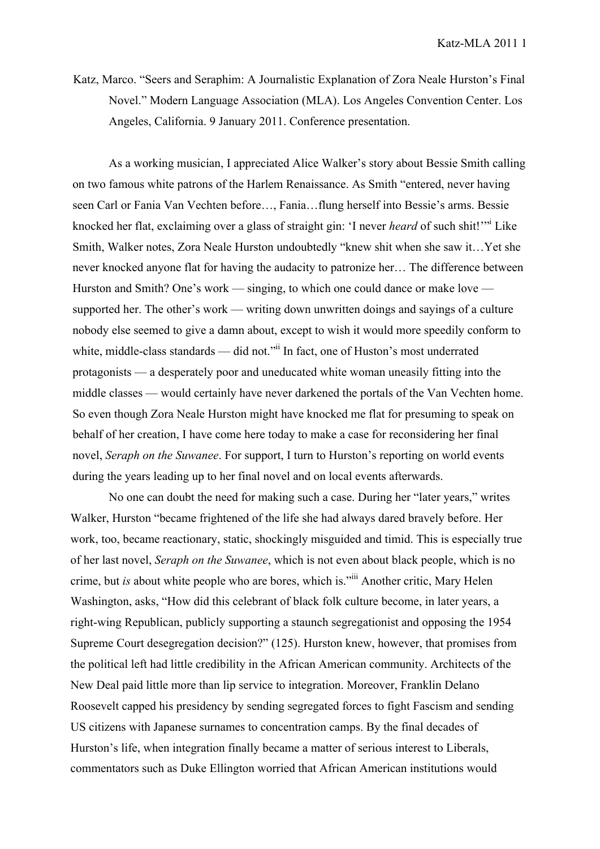Katz, Marco. "Seers and Seraphim: A Journalistic Explanation of Zora Neale Hurston's Final Novel." Modern Language Association (MLA). Los Angeles Convention Center. Los Angeles, California. 9 January 2011. Conference presentation.

As a working musician, I appreciated Alice Walker's story about Bessie Smith calling on two famous white patrons of the Harlem Renaissance. As Smith "entered, never having seen Carl or Fania Van Vechten before…, Fania…flung herself into Bessie's arms. Bessie knocked her flat, exclaiming over a glass of straight gin: 'I never *heard* of such shit!'"i Like Smith, Walker notes, Zora Neale Hurston undoubtedly "knew shit when she saw it…Yet she never knocked anyone flat for having the audacity to patronize her… The difference between Hurston and Smith? One's work — singing, to which one could dance or make love supported her. The other's work — writing down unwritten doings and sayings of a culture nobody else seemed to give a damn about, except to wish it would more speedily conform to white, middle-class standards — did not."ii In fact, one of Huston's most underrated protagonists — a desperately poor and uneducated white woman uneasily fitting into the middle classes — would certainly have never darkened the portals of the Van Vechten home. So even though Zora Neale Hurston might have knocked me flat for presuming to speak on behalf of her creation, I have come here today to make a case for reconsidering her final novel, *Seraph on the Suwanee*. For support, I turn to Hurston's reporting on world events during the years leading up to her final novel and on local events afterwards.

No one can doubt the need for making such a case. During her "later years," writes Walker, Hurston "became frightened of the life she had always dared bravely before. Her work, too, became reactionary, static, shockingly misguided and timid. This is especially true of her last novel, *Seraph on the Suwanee*, which is not even about black people, which is no crime, but *is* about white people who are bores, which is."iii Another critic, Mary Helen Washington, asks, "How did this celebrant of black folk culture become, in later years, a right-wing Republican, publicly supporting a staunch segregationist and opposing the 1954 Supreme Court desegregation decision?" (125). Hurston knew, however, that promises from the political left had little credibility in the African American community. Architects of the New Deal paid little more than lip service to integration. Moreover, Franklin Delano Roosevelt capped his presidency by sending segregated forces to fight Fascism and sending US citizens with Japanese surnames to concentration camps. By the final decades of Hurston's life, when integration finally became a matter of serious interest to Liberals, commentators such as Duke Ellington worried that African American institutions would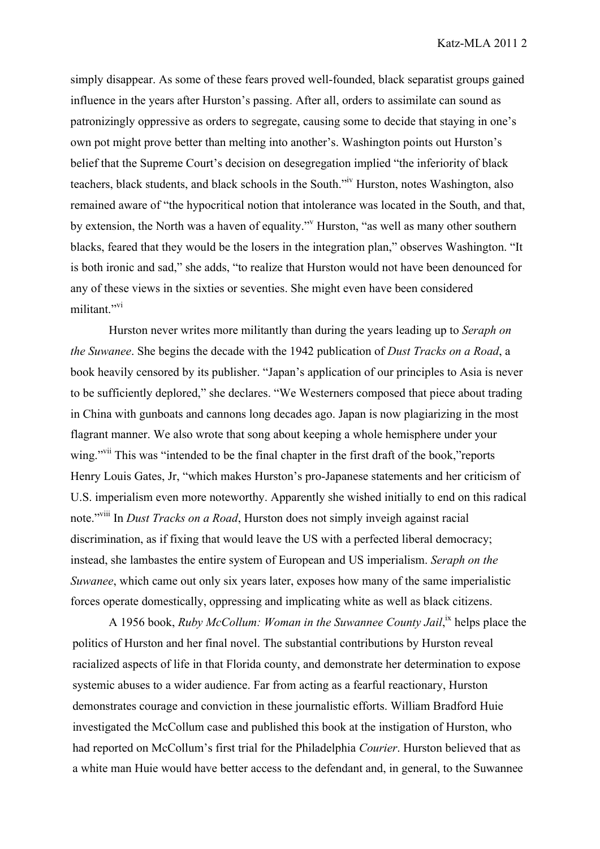simply disappear. As some of these fears proved well-founded, black separatist groups gained influence in the years after Hurston's passing. After all, orders to assimilate can sound as patronizingly oppressive as orders to segregate, causing some to decide that staying in one's own pot might prove better than melting into another's. Washington points out Hurston's belief that the Supreme Court's decision on desegregation implied "the inferiority of black teachers, black students, and black schools in the South."iv Hurston, notes Washington, also remained aware of "the hypocritical notion that intolerance was located in the South, and that, by extension, the North was a haven of equality."v Hurston, "as well as many other southern blacks, feared that they would be the losers in the integration plan," observes Washington. "It is both ironic and sad," she adds, "to realize that Hurston would not have been denounced for any of these views in the sixties or seventies. She might even have been considered militant."vi

Hurston never writes more militantly than during the years leading up to *Seraph on the Suwanee*. She begins the decade with the 1942 publication of *Dust Tracks on a Road*, a book heavily censored by its publisher. "Japan's application of our principles to Asia is never to be sufficiently deplored," she declares. "We Westerners composed that piece about trading in China with gunboats and cannons long decades ago. Japan is now plagiarizing in the most flagrant manner. We also wrote that song about keeping a whole hemisphere under your wing."<sup>vii</sup> This was "intended to be the final chapter in the first draft of the book,"reports Henry Louis Gates, Jr, "which makes Hurston's pro-Japanese statements and her criticism of U.S. imperialism even more noteworthy. Apparently she wished initially to end on this radical note."viii In *Dust Tracks on a Road*, Hurston does not simply inveigh against racial discrimination, as if fixing that would leave the US with a perfected liberal democracy; instead, she lambastes the entire system of European and US imperialism. *Seraph on the Suwanee*, which came out only six years later, exposes how many of the same imperialistic forces operate domestically, oppressing and implicating white as well as black citizens.

A 1956 book, *Ruby McCollum: Woman in the Suwannee County Jail*,<sup>ix</sup> helps place the politics of Hurston and her final novel. The substantial contributions by Hurston reveal racialized aspects of life in that Florida county, and demonstrate her determination to expose systemic abuses to a wider audience. Far from acting as a fearful reactionary, Hurston demonstrates courage and conviction in these journalistic efforts. William Bradford Huie investigated the McCollum case and published this book at the instigation of Hurston, who had reported on McCollum's first trial for the Philadelphia *Courier*. Hurston believed that as a white man Huie would have better access to the defendant and, in general, to the Suwannee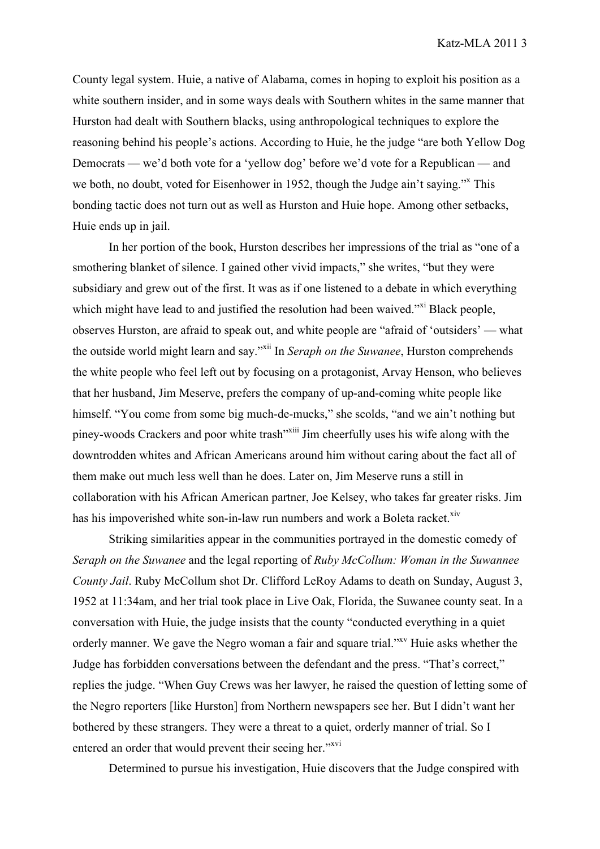County legal system. Huie, a native of Alabama, comes in hoping to exploit his position as a white southern insider, and in some ways deals with Southern whites in the same manner that Hurston had dealt with Southern blacks, using anthropological techniques to explore the reasoning behind his people's actions. According to Huie, he the judge "are both Yellow Dog Democrats — we'd both vote for a 'yellow dog' before we'd vote for a Republican — and we both, no doubt, voted for Eisenhower in 1952, though the Judge ain't saying."<sup>x</sup> This bonding tactic does not turn out as well as Hurston and Huie hope. Among other setbacks, Huie ends up in jail.

In her portion of the book, Hurston describes her impressions of the trial as "one of a smothering blanket of silence. I gained other vivid impacts," she writes, "but they were subsidiary and grew out of the first. It was as if one listened to a debate in which everything which might have lead to and justified the resolution had been waived."<sup>xi</sup> Black people, observes Hurston, are afraid to speak out, and white people are "afraid of 'outsiders' — what the outside world might learn and say."xii In *Seraph on the Suwanee*, Hurston comprehends the white people who feel left out by focusing on a protagonist, Arvay Henson, who believes that her husband, Jim Meserve, prefers the company of up-and-coming white people like himself. "You come from some big much-de-mucks," she scolds, "and we ain't nothing but piney-woods Crackers and poor white trash<sup>"xiii</sup> Jim cheerfully uses his wife along with the downtrodden whites and African Americans around him without caring about the fact all of them make out much less well than he does. Later on, Jim Meserve runs a still in collaboration with his African American partner, Joe Kelsey, who takes far greater risks. Jim has his impoverished white son-in-law run numbers and work a Boleta racket.<sup>xiv</sup>

Striking similarities appear in the communities portrayed in the domestic comedy of *Seraph on the Suwanee* and the legal reporting of *Ruby McCollum: Woman in the Suwannee County Jail*. Ruby McCollum shot Dr. Clifford LeRoy Adams to death on Sunday, August 3, 1952 at 11:34am, and her trial took place in Live Oak, Florida, the Suwanee county seat. In a conversation with Huie, the judge insists that the county "conducted everything in a quiet orderly manner. We gave the Negro woman a fair and square trial."<sup>xv</sup> Huie asks whether the Judge has forbidden conversations between the defendant and the press. "That's correct," replies the judge. "When Guy Crews was her lawyer, he raised the question of letting some of the Negro reporters [like Hurston] from Northern newspapers see her. But I didn't want her bothered by these strangers. They were a threat to a quiet, orderly manner of trial. So I entered an order that would prevent their seeing her."<sup>xvi</sup>

Determined to pursue his investigation, Huie discovers that the Judge conspired with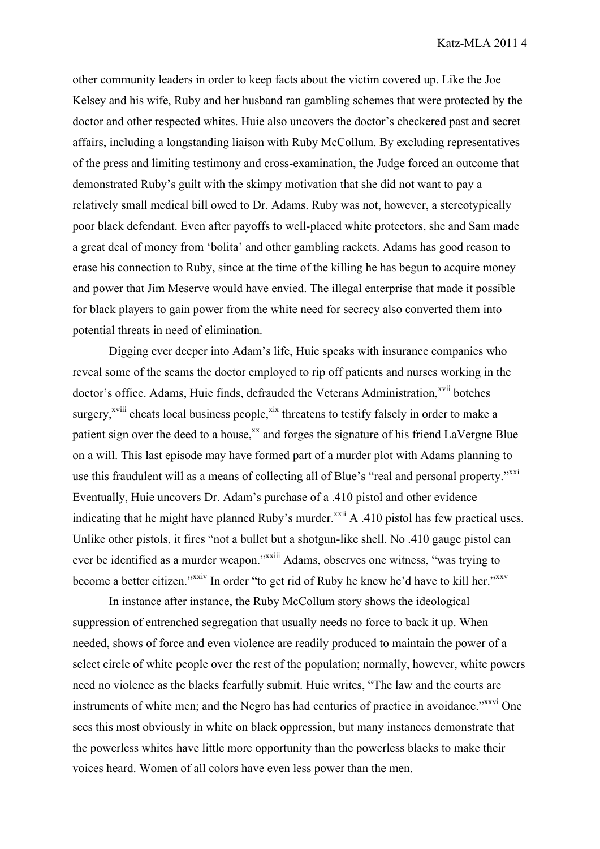other community leaders in order to keep facts about the victim covered up. Like the Joe Kelsey and his wife, Ruby and her husband ran gambling schemes that were protected by the doctor and other respected whites. Huie also uncovers the doctor's checkered past and secret affairs, including a longstanding liaison with Ruby McCollum. By excluding representatives of the press and limiting testimony and cross-examination, the Judge forced an outcome that demonstrated Ruby's guilt with the skimpy motivation that she did not want to pay a relatively small medical bill owed to Dr. Adams. Ruby was not, however, a stereotypically poor black defendant. Even after payoffs to well-placed white protectors, she and Sam made a great deal of money from 'bolita' and other gambling rackets. Adams has good reason to erase his connection to Ruby, since at the time of the killing he has begun to acquire money and power that Jim Meserve would have envied. The illegal enterprise that made it possible for black players to gain power from the white need for secrecy also converted them into potential threats in need of elimination.

Digging ever deeper into Adam's life, Huie speaks with insurance companies who reveal some of the scams the doctor employed to rip off patients and nurses working in the doctor's office. Adams, Huie finds, defrauded the Veterans Administration,<sup>xvii</sup> botches surgery,<sup>xviii</sup> cheats local business people,<sup>xix</sup> threatens to testify falsely in order to make a patient sign over the deed to a house, $^{xx}$  and forges the signature of his friend LaVergne Blue on a will. This last episode may have formed part of a murder plot with Adams planning to use this fraudulent will as a means of collecting all of Blue's "real and personal property."<sup>xxi</sup> Eventually, Huie uncovers Dr. Adam's purchase of a .410 pistol and other evidence indicating that he might have planned Ruby's murder.<sup>xxii</sup> A .410 pistol has few practical uses. Unlike other pistols, it fires "not a bullet but a shotgun-like shell. No .410 gauge pistol can ever be identified as a murder weapon."<sup>xxiii</sup> Adams, observes one witness, "was trying to become a better citizen."<sup>xxiv</sup> In order "to get rid of Ruby he knew he'd have to kill her."<sup>xxxv</sup>

In instance after instance, the Ruby McCollum story shows the ideological suppression of entrenched segregation that usually needs no force to back it up. When needed, shows of force and even violence are readily produced to maintain the power of a select circle of white people over the rest of the population; normally, however, white powers need no violence as the blacks fearfully submit. Huie writes, "The law and the courts are instruments of white men; and the Negro has had centuries of practice in avoidance."<sup>xxxvi</sup> One sees this most obviously in white on black oppression, but many instances demonstrate that the powerless whites have little more opportunity than the powerless blacks to make their voices heard. Women of all colors have even less power than the men.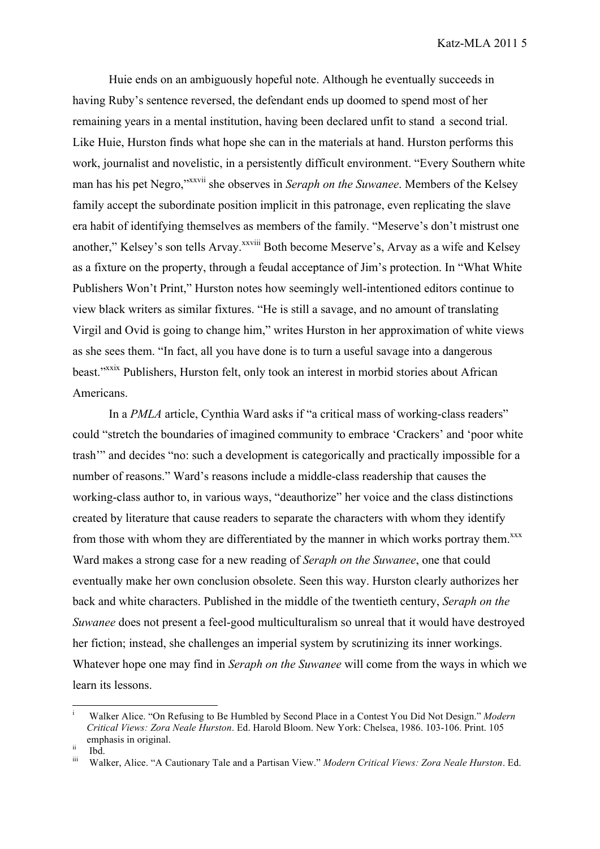Huie ends on an ambiguously hopeful note. Although he eventually succeeds in having Ruby's sentence reversed, the defendant ends up doomed to spend most of her remaining years in a mental institution, having been declared unfit to stand a second trial. Like Huie, Hurston finds what hope she can in the materials at hand. Hurston performs this work, journalist and novelistic, in a persistently difficult environment. "Every Southern white man has his pet Negro,"xxvii she observes in *Seraph on the Suwanee*. Members of the Kelsey family accept the subordinate position implicit in this patronage, even replicating the slave era habit of identifying themselves as members of the family. "Meserve's don't mistrust one another," Kelsey's son tells Arvay.<sup>xxviii</sup> Both become Meserve's, Arvay as a wife and Kelsey as a fixture on the property, through a feudal acceptance of Jim's protection. In "What White Publishers Won't Print," Hurston notes how seemingly well-intentioned editors continue to view black writers as similar fixtures. "He is still a savage, and no amount of translating Virgil and Ovid is going to change him," writes Hurston in her approximation of white views as she sees them. "In fact, all you have done is to turn a useful savage into a dangerous beast."xxix Publishers, Hurston felt, only took an interest in morbid stories about African Americans.

In a *PMLA* article, Cynthia Ward asks if "a critical mass of working-class readers" could "stretch the boundaries of imagined community to embrace 'Crackers' and 'poor white trash'" and decides "no: such a development is categorically and practically impossible for a number of reasons." Ward's reasons include a middle-class readership that causes the working-class author to, in various ways, "deauthorize" her voice and the class distinctions created by literature that cause readers to separate the characters with whom they identify from those with whom they are differentiated by the manner in which works portray them.<sup>xxx</sup> Ward makes a strong case for a new reading of *Seraph on the Suwanee*, one that could eventually make her own conclusion obsolete. Seen this way. Hurston clearly authorizes her back and white characters. Published in the middle of the twentieth century, *Seraph on the Suwanee* does not present a feel-good multiculturalism so unreal that it would have destroyed her fiction; instead, she challenges an imperial system by scrutinizing its inner workings. Whatever hope one may find in *Seraph on the Suwanee* will come from the ways in which we learn its lessons.

i Walker Alice. "On Refusing to Be Humbled by Second Place in a Contest You Did Not Design." *Modern Critical Views: Zora Neale Hurston*. Ed. Harold Bloom. New York: Chelsea, 1986. 103-106. Print. 105 emphasis in original.<br>
<sup>ii</sup> Ibd.<br>
<sup>ii</sup> Walker, Alice. "A Cautionary Tale and a Partisan View." *Modern Critical Views: Zora Neale Hurston*. Ed.